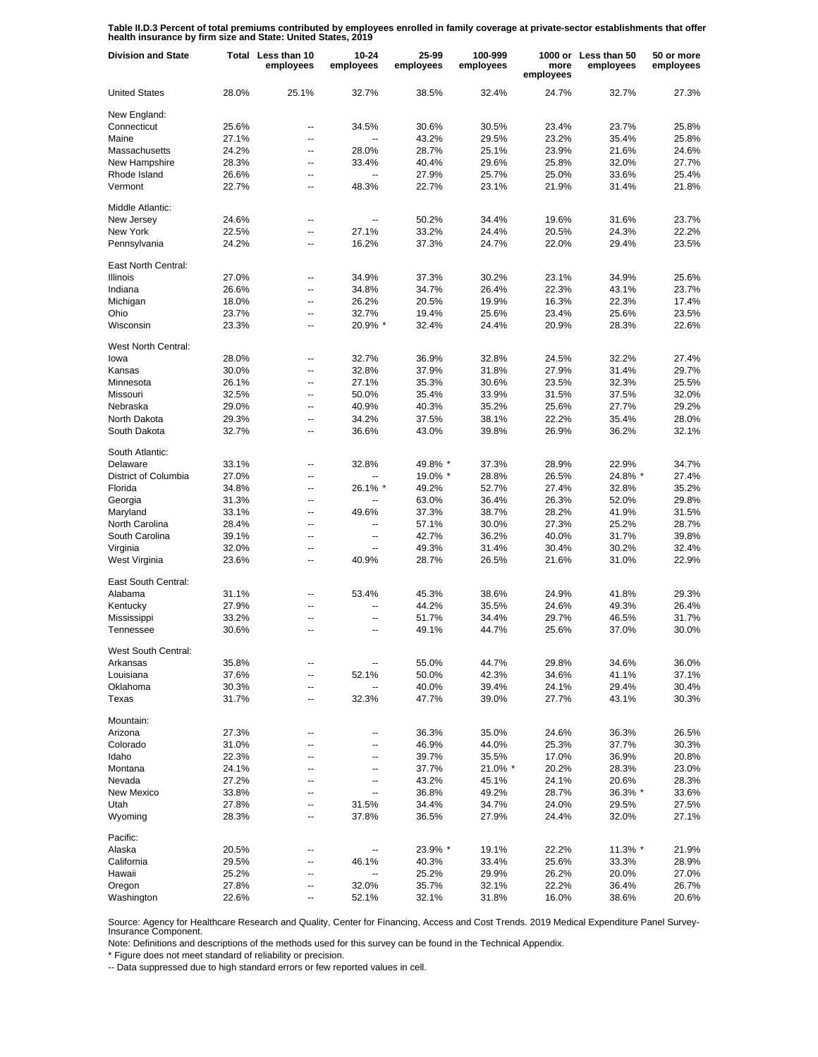**Table II.D.3 Percent of total premiums contributed by employees enrolled in family coverage at private-sector establishments that offer health insurance by firm size and State: United States, 2019**

| <b>Division and State</b> |       | Total Less than 10<br>employees | 10-24<br>employees       | 25-99<br>employees | 100-999<br>employees | more<br>employees | 1000 or Less than 50<br>employees | 50 or more<br>employees |
|---------------------------|-------|---------------------------------|--------------------------|--------------------|----------------------|-------------------|-----------------------------------|-------------------------|
| <b>United States</b>      | 28.0% | 25.1%                           | 32.7%                    | 38.5%              | 32.4%                | 24.7%             | 32.7%                             | 27.3%                   |
| New England:              |       |                                 |                          |                    |                      |                   |                                   |                         |
| Connecticut               | 25.6% | --                              | 34.5%                    | 30.6%              | 30.5%                | 23.4%             | 23.7%                             | 25.8%                   |
| Maine                     | 27.1% | $\overline{a}$                  | $\overline{a}$           | 43.2%              | 29.5%                | 23.2%             | 35.4%                             | 25.8%                   |
| Massachusetts             | 24.2% | $\overline{a}$                  | 28.0%                    | 28.7%              | 25.1%                | 23.9%             | 21.6%                             | 24.6%                   |
| New Hampshire             | 28.3% | $\overline{a}$                  | 33.4%                    | 40.4%              | 29.6%                | 25.8%             | 32.0%                             | 27.7%                   |
| Rhode Island              | 26.6% | --                              | $\ddotsc$                | 27.9%              | 25.7%                | 25.0%             | 33.6%                             | 25.4%                   |
| Vermont                   | 22.7% | $\overline{a}$                  | 48.3%                    | 22.7%              | 23.1%                | 21.9%             | 31.4%                             | 21.8%                   |
| Middle Atlantic:          |       |                                 |                          |                    |                      |                   |                                   |                         |
| New Jersey                | 24.6% | $\overline{\phantom{a}}$        | $\overline{\phantom{a}}$ | 50.2%              | 34.4%                | 19.6%             | 31.6%                             | 23.7%                   |
| New York                  | 22.5% | $\overline{\phantom{a}}$        | 27.1%                    | 33.2%              | 24.4%                | 20.5%             | 24.3%                             | 22.2%                   |
|                           |       | $\overline{a}$                  |                          |                    |                      |                   |                                   |                         |
| Pennsylvania              | 24.2% |                                 | 16.2%                    | 37.3%              | 24.7%                | 22.0%             | 29.4%                             | 23.5%                   |
| East North Central:       |       |                                 |                          |                    |                      |                   |                                   |                         |
| <b>Illinois</b>           | 27.0% | $\overline{a}$                  | 34.9%                    | 37.3%              | 30.2%                | 23.1%             | 34.9%                             | 25.6%                   |
| Indiana                   | 26.6% | Ξ.                              | 34.8%                    | 34.7%              | 26.4%                | 22.3%             | 43.1%                             | 23.7%                   |
| Michigan                  | 18.0% | --                              | 26.2%                    | 20.5%              | 19.9%                | 16.3%             | 22.3%                             | 17.4%                   |
| Ohio                      | 23.7% | Ξ.                              | 32.7%                    | 19.4%              | 25.6%                | 23.4%             | 25.6%                             | 23.5%                   |
| Wisconsin                 | 23.3% | $\overline{a}$                  | 20.9% *                  | 32.4%              | 24.4%                | 20.9%             | 28.3%                             | 22.6%                   |
| West North Central:       |       |                                 |                          |                    |                      |                   |                                   |                         |
| lowa                      | 28.0% | --                              | 32.7%                    | 36.9%              | 32.8%                | 24.5%             | 32.2%                             | 27.4%                   |
| Kansas                    |       | Ξ.                              | 32.8%                    |                    | 31.8%                |                   | 31.4%                             | 29.7%                   |
|                           | 30.0% |                                 |                          | 37.9%              |                      | 27.9%             |                                   |                         |
| Minnesota                 | 26.1% | $\overline{\phantom{a}}$        | 27.1%                    | 35.3%              | 30.6%                | 23.5%             | 32.3%                             | 25.5%                   |
| Missouri                  | 32.5% | $\overline{a}$                  | 50.0%                    | 35.4%              | 33.9%                | 31.5%             | 37.5%                             | 32.0%                   |
| Nebraska                  | 29.0% | $\overline{\phantom{a}}$        | 40.9%                    | 40.3%              | 35.2%                | 25.6%             | 27.7%                             | 29.2%                   |
| North Dakota              | 29.3% | $\overline{a}$                  | 34.2%                    | 37.5%              | 38.1%                | 22.2%             | 35.4%                             | 28.0%                   |
| South Dakota              | 32.7% | --                              | 36.6%                    | 43.0%              | 39.8%                | 26.9%             | 36.2%                             | 32.1%                   |
| South Atlantic:           |       |                                 |                          |                    |                      |                   |                                   |                         |
| Delaware                  | 33.1% | $\overline{\phantom{a}}$        | 32.8%                    | 49.8% *            | 37.3%                | 28.9%             | 22.9%                             | 34.7%                   |
| District of Columbia      | 27.0% | $\overline{a}$                  |                          | 19.0% *            | 28.8%                | 26.5%             | 24.8% *                           | 27.4%                   |
| Florida                   | 34.8% | $\overline{\phantom{a}}$        | 26.1% *                  | 49.2%              | 52.7%                | 27.4%             | 32.8%                             | 35.2%                   |
| Georgia                   | 31.3% | $\overline{a}$                  |                          | 63.0%              | 36.4%                | 26.3%             | 52.0%                             | 29.8%                   |
| Maryland                  | 33.1% | $\overline{\phantom{a}}$        | 49.6%                    | 37.3%              | 38.7%                | 28.2%             | 41.9%                             | 31.5%                   |
| North Carolina            | 28.4% | $\overline{a}$                  | --                       | 57.1%              | 30.0%                | 27.3%             | 25.2%                             | 28.7%                   |
| South Carolina            | 39.1% | $\overline{a}$                  | $\overline{a}$           | 42.7%              | 36.2%                | 40.0%             | 31.7%                             | 39.8%                   |
|                           |       |                                 |                          |                    |                      |                   |                                   |                         |
| Virginia                  | 32.0% | $\overline{a}$                  | --                       | 49.3%              | 31.4%                | 30.4%             | 30.2%                             | 32.4%                   |
| West Virginia             | 23.6% | $\overline{\phantom{a}}$        | 40.9%                    | 28.7%              | 26.5%                | 21.6%             | 31.0%                             | 22.9%                   |
| East South Central:       |       |                                 |                          |                    |                      |                   |                                   |                         |
| Alabama                   | 31.1% | $\overline{a}$                  | 53.4%                    | 45.3%              | 38.6%                | 24.9%             | 41.8%                             | 29.3%                   |
| Kentucky                  | 27.9% | Ξ.                              | Ξ.                       | 44.2%              | 35.5%                | 24.6%             | 49.3%                             | 26.4%                   |
| Mississippi               | 33.2% | ц,                              |                          | 51.7%              | 34.4%                | 29.7%             | 46.5%                             | 31.7%                   |
| Tennessee                 | 30.6% | $\overline{a}$                  | --                       | 49.1%              | 44.7%                | 25.6%             | 37.0%                             | 30.0%                   |
| West South Central:       |       |                                 |                          |                    |                      |                   |                                   |                         |
| Arkansas                  | 35.8% |                                 |                          | 55.0%              | 44.7%                | 29.8%             | 34.6%                             | 36.0%                   |
| Louisiana                 | 37.6% | --                              | 52.1%                    | 50.0%              | 42.3%                | 34.6%             | 41.1%                             | 37.1%                   |
| Oklahoma                  | 30.3% | ۰.                              |                          | 40.0%              | 39.4%                | 24.1%             | 29.4%                             | 30.4%                   |
| Texas                     | 31.7% | --                              | 32.3%                    | 47.7%              | 39.0%                | 27.7%             | 43.1%                             | 30.3%                   |
| Mountain:                 |       |                                 |                          |                    |                      |                   |                                   |                         |
| Arizona                   | 27.3% | $\overline{\phantom{a}}$        | --                       | 36.3%              | 35.0%                | 24.6%             | 36.3%                             | 26.5%                   |
| Colorado                  | 31.0% | $\overline{\phantom{a}}$        | --                       | 46.9%              | 44.0%                | 25.3%             | 37.7%                             | 30.3%                   |
| Idaho                     | 22.3% | --                              | --                       | 39.7%              | 35.5%                | 17.0%             | 36.9%                             | 20.8%                   |
| Montana                   | 24.1% | $\overline{\phantom{a}}$        | --                       | 37.7%              | 21.0% *              | 20.2%             | 28.3%                             | 23.0%                   |
| Nevada                    |       |                                 |                          |                    | 45.1%                | 24.1%             |                                   | 28.3%                   |
|                           | 27.2% | --                              | --                       | 43.2%              |                      |                   | 20.6%                             |                         |
| <b>New Mexico</b>         | 33.8% | $\overline{\phantom{a}}$        | --                       | 36.8%              | 49.2%                | 28.7%             | 36.3% *                           | 33.6%                   |
| Utah                      | 27.8% | $\overline{\phantom{a}}$        | 31.5%                    | 34.4%              | 34.7%                | 24.0%             | 29.5%                             | 27.5%                   |
| Wyoming                   | 28.3% | $\overline{\phantom{a}}$        | 37.8%                    | 36.5%              | 27.9%                | 24.4%             | 32.0%                             | 27.1%                   |
| Pacific:                  |       |                                 |                          |                    |                      |                   |                                   |                         |
| Alaska                    | 20.5% | --                              |                          | 23.9% *            | 19.1%                | 22.2%             | 11.3% *                           | 21.9%                   |
| California                | 29.5% | --                              | 46.1%                    | 40.3%              | 33.4%                | 25.6%             | 33.3%                             | 28.9%                   |
| Hawaii                    | 25.2% | --                              | --                       | 25.2%              | 29.9%                | 26.2%             | 20.0%                             | 27.0%                   |
| Oregon                    | 27.8% | --                              | 32.0%                    | 35.7%              | 32.1%                | 22.2%             | 36.4%                             | 26.7%                   |
| Washington                | 22.6% | Ξ.                              | 52.1%                    | 32.1%              | 31.8%                | 16.0%             | 38.6%                             | 20.6%                   |

Source: Agency for Healthcare Research and Quality, Center for Financing, Access and Cost Trends. 2019 Medical Expenditure Panel Survey-Insurance Component.

Note: Definitions and descriptions of the methods used for this survey can be found in the Technical Appendix.

\* Figure does not meet standard of reliability or precision.

-- Data suppressed due to high standard errors or few reported values in cell.